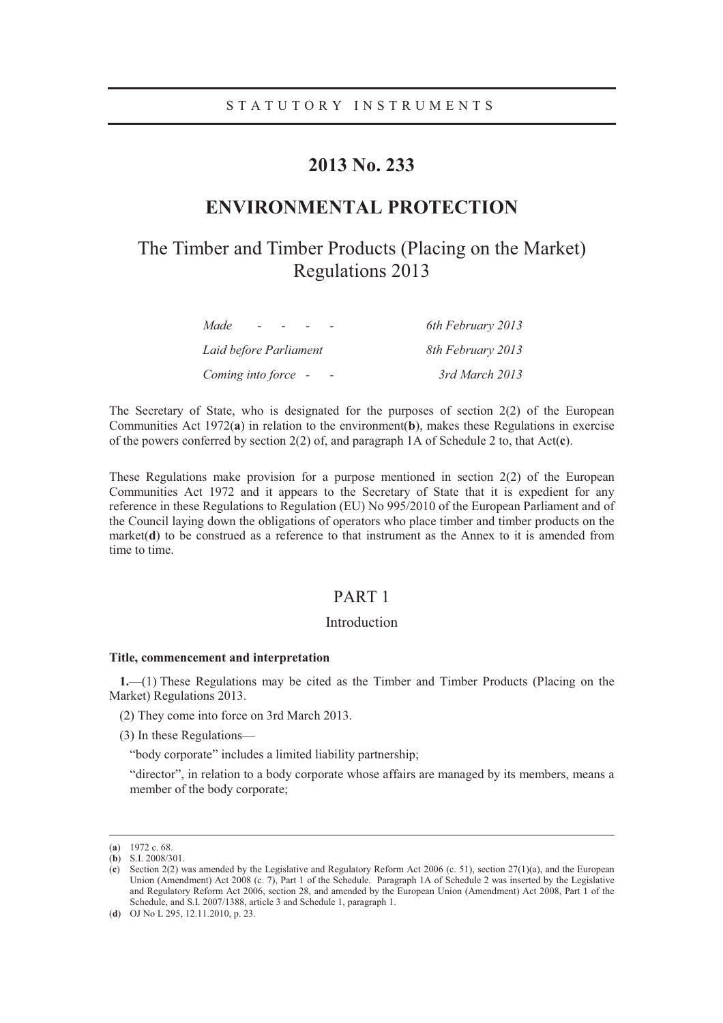# **2013 No. 233**

# **ENVIRONMENTAL PROTECTION**

# The Timber and Timber Products (Placing on the Market) Regulations 2013

| Made<br>$\overline{\phantom{0}}$ | 6th February 2013 |
|----------------------------------|-------------------|
| Laid before Parliament           | 8th February 2013 |
| Coming into force -              | 3rd March 2013    |

The Secretary of State, who is designated for the purposes of section  $2(2)$  of the European Communities Act 1972(**a**) in relation to the environment(**b**), makes these Regulations in exercise of the powers conferred by section 2(2) of, and paragraph 1A of Schedule 2 to, that Act(**c**).

These Regulations make provision for a purpose mentioned in section 2(2) of the European Communities Act 1972 and it appears to the Secretary of State that it is expedient for any reference in these Regulations to Regulation (EU) No 995/2010 of the European Parliament and of the Council laying down the obligations of operators who place timber and timber products on the market( $\bf d$ ) to be construed as a reference to that instrument as the Annex to it is amended from time to time.

# PART 1

# Introduction

### **Title, commencement and interpretation**

**1.**—(1) These Regulations may be cited as the Timber and Timber Products (Placing on the Market) Regulations 2013.

- (2) They come into force on 3rd March 2013.
- (3) In these Regulations—

"body corporate" includes a limited liability partnership;

"director", in relation to a body corporate whose affairs are managed by its members, means a member of the body corporate;

 <sup>(</sup>**a**) 1972 c. 68. (**b**) S.I. 2008/301.

<sup>(</sup>**c**) Section 2(2) was amended by the Legislative and Regulatory Reform Act 2006 (c. 51), section 27(1)(a), and the European Union (Amendment) Act 2008 (c. 7), Part 1 of the Schedule. Paragraph 1A of Schedule 2 was inserted by the Legislative and Regulatory Reform Act 2006, section 28, and amended by the European Union (Amendment) Act 2008, Part 1 of the Schedule, and S.I. 2007/1388, article 3 and Schedule 1, paragraph 1.

<sup>(</sup>**d**) OJ No L 295, 12.11.2010, p. 23.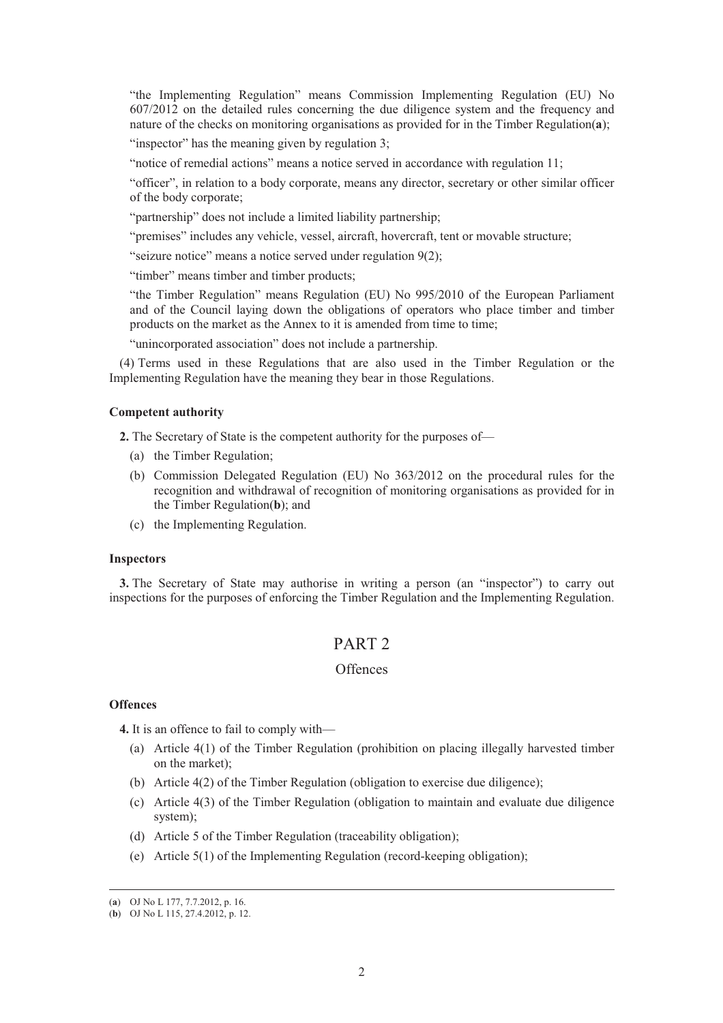"the Implementing Regulation" means Commission Implementing Regulation (EU) No 607/2012 on the detailed rules concerning the due diligence system and the frequency and nature of the checks on monitoring organisations as provided for in the Timber Regulation(**a**);

"inspector" has the meaning given by regulation 3;

"notice of remedial actions" means a notice served in accordance with regulation 11;

"officer", in relation to a body corporate, means any director, secretary or other similar officer of the body corporate;

"partnership" does not include a limited liability partnership;

"premises" includes any vehicle, vessel, aircraft, hovercraft, tent or movable structure;

"seizure notice" means a notice served under regulation 9(2);

"timber" means timber and timber products;

"the Timber Regulation" means Regulation (EU) No 995/2010 of the European Parliament and of the Council laying down the obligations of operators who place timber and timber products on the market as the Annex to it is amended from time to time;

"unincorporated association" does not include a partnership.

(4) Terms used in these Regulations that are also used in the Timber Regulation or the Implementing Regulation have the meaning they bear in those Regulations.

#### **Competent authority**

**2.** The Secretary of State is the competent authority for the purposes of—

- (a) the Timber Regulation;
- (b) Commission Delegated Regulation (EU) No 363/2012 on the procedural rules for the recognition and withdrawal of recognition of monitoring organisations as provided for in the Timber Regulation(**b**); and
- (c) the Implementing Regulation.

# **Inspectors**

**3.** The Secretary of State may authorise in writing a person (an "inspector") to carry out inspections for the purposes of enforcing the Timber Regulation and the Implementing Regulation.

# PART 2

# **Offences**

## **Offences**

**4.** It is an offence to fail to comply with—

- (a) Article 4(1) of the Timber Regulation (prohibition on placing illegally harvested timber on the market);
- (b) Article 4(2) of the Timber Regulation (obligation to exercise due diligence);
- (c) Article 4(3) of the Timber Regulation (obligation to maintain and evaluate due diligence system);
- (d) Article 5 of the Timber Regulation (traceability obligation);
- (e) Article 5(1) of the Implementing Regulation (record-keeping obligation);

 <sup>(</sup>**a**) OJ No L 177, 7.7.2012, p. 16.

<sup>(</sup>**b**) OJ No L 115, 27.4.2012, p. 12.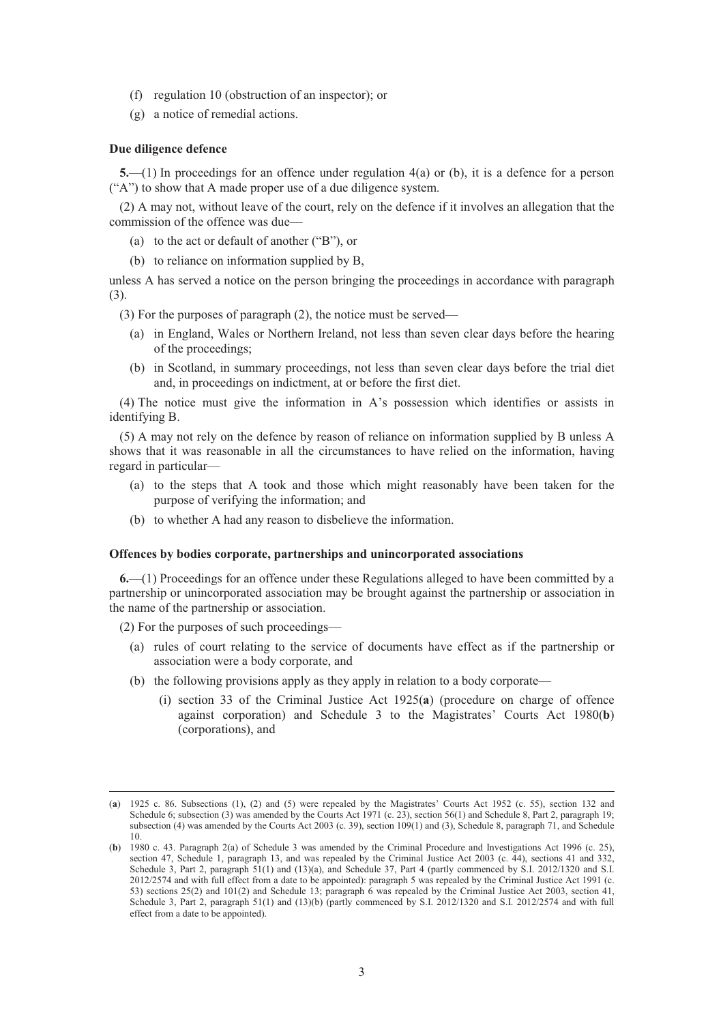- (f) regulation 10 (obstruction of an inspector); or
- (g) a notice of remedial actions.

#### **Due diligence defence**

**5.**—(1) In proceedings for an offence under regulation 4(a) or (b), it is a defence for a person ("A") to show that A made proper use of a due diligence system.

(2) A may not, without leave of the court, rely on the defence if it involves an allegation that the commission of the offence was due—

- (a) to the act or default of another ("B"), or
- (b) to reliance on information supplied by B,

unless A has served a notice on the person bringing the proceedings in accordance with paragraph (3).

(3) For the purposes of paragraph (2), the notice must be served—

- (a) in England, Wales or Northern Ireland, not less than seven clear days before the hearing of the proceedings;
- (b) in Scotland, in summary proceedings, not less than seven clear days before the trial diet and, in proceedings on indictment, at or before the first diet.

(4) The notice must give the information in A's possession which identifies or assists in identifying B.

(5) A may not rely on the defence by reason of reliance on information supplied by B unless A shows that it was reasonable in all the circumstances to have relied on the information, having regard in particular—

- (a) to the steps that A took and those which might reasonably have been taken for the purpose of verifying the information; and
- (b) to whether A had any reason to disbelieve the information.

#### **Offences by bodies corporate, partnerships and unincorporated associations**

**6.**—(1) Proceedings for an offence under these Regulations alleged to have been committed by a partnership or unincorporated association may be brought against the partnership or association in the name of the partnership or association.

(2) For the purposes of such proceedings—

- (a) rules of court relating to the service of documents have effect as if the partnership or association were a body corporate, and
- (b) the following provisions apply as they apply in relation to a body corporate—
	- (i) section 33 of the Criminal Justice Act 1925(**a**) (procedure on charge of offence against corporation) and Schedule 3 to the Magistrates' Courts Act 1980(**b**) (corporations), and

 <sup>(</sup>**a**) 1925 c. 86. Subsections (1), (2) and (5) were repealed by the Magistrates' Courts Act 1952 (c. 55), section 132 and Schedule 6; subsection (3) was amended by the Courts Act 1971 (c. 23), section 56(1) and Schedule 8, Part 2, paragraph 19; subsection (4) was amended by the Courts Act 2003 (c. 39), section 109(1) and (3), Schedule 8, paragraph 71, and Schedule 10.

<sup>(</sup>**b**) 1980 c. 43. Paragraph 2(a) of Schedule 3 was amended by the Criminal Procedure and Investigations Act 1996 (c. 25), section 47, Schedule 1, paragraph 13, and was repealed by the Criminal Justice Act 2003 (c. 44), sections 41 and 332, Schedule 3, Part 2, paragraph 51(1) and (13)(a), and Schedule 37, Part 4 (partly commenced by S.I. 2012/1320 and S.I. 2012/2574 and with full effect from a date to be appointed): paragraph 5 was repealed by the Criminal Justice Act 1991 (c. 53) sections 25(2) and 101(2) and Schedule 13; paragraph 6 was repealed by the Criminal Justice Act 2003, section 41, Schedule 3, Part 2, paragraph 51(1) and (13)(b) (partly commenced by S.I. 2012/1320 and S.I. 2012/2574 and with full effect from a date to be appointed).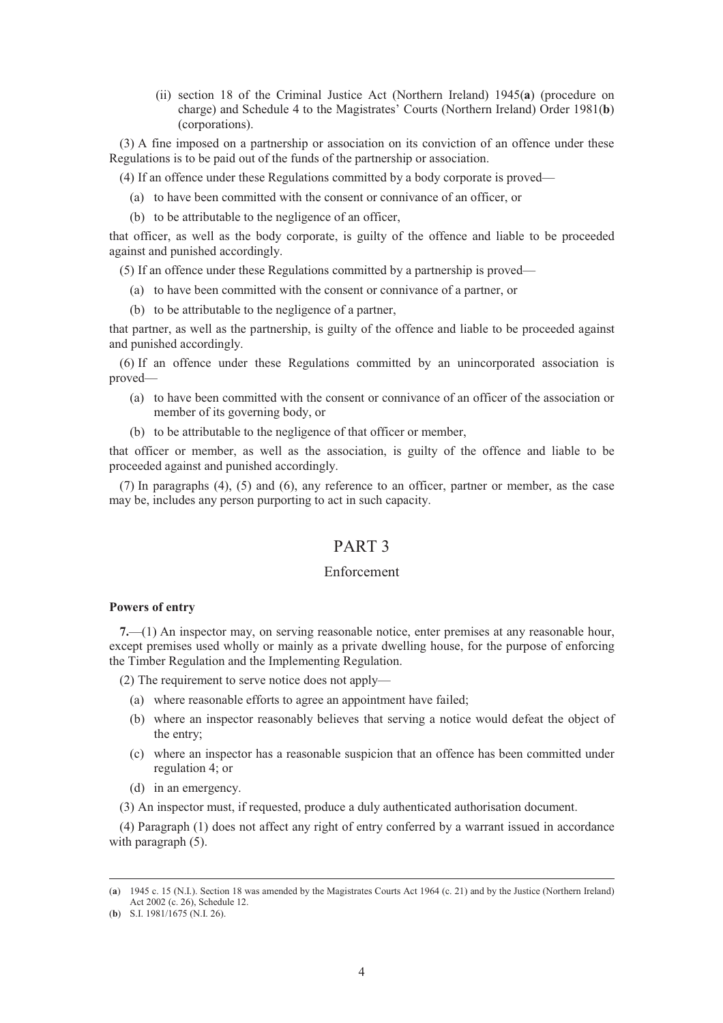(ii) section 18 of the Criminal Justice Act (Northern Ireland) 1945(**a**) (procedure on charge) and Schedule 4 to the Magistrates' Courts (Northern Ireland) Order 1981(**b**) (corporations).

(3) A fine imposed on a partnership or association on its conviction of an offence under these Regulations is to be paid out of the funds of the partnership or association.

(4) If an offence under these Regulations committed by a body corporate is proved—

- (a) to have been committed with the consent or connivance of an officer, or
- (b) to be attributable to the negligence of an officer,

that officer, as well as the body corporate, is guilty of the offence and liable to be proceeded against and punished accordingly.

(5) If an offence under these Regulations committed by a partnership is proved—

- (a) to have been committed with the consent or connivance of a partner, or
- (b) to be attributable to the negligence of a partner,

that partner, as well as the partnership, is guilty of the offence and liable to be proceeded against and punished accordingly.

(6) If an offence under these Regulations committed by an unincorporated association is proved—

- (a) to have been committed with the consent or connivance of an officer of the association or member of its governing body, or
- (b) to be attributable to the negligence of that officer or member,

that officer or member, as well as the association, is guilty of the offence and liable to be proceeded against and punished accordingly.

(7) In paragraphs (4), (5) and (6), any reference to an officer, partner or member, as the case may be, includes any person purporting to act in such capacity.

# PART 3

# Enforcement

## **Powers of entry**

**7.**—(1) An inspector may, on serving reasonable notice, enter premises at any reasonable hour, except premises used wholly or mainly as a private dwelling house, for the purpose of enforcing the Timber Regulation and the Implementing Regulation.

(2) The requirement to serve notice does not apply—

- (a) where reasonable efforts to agree an appointment have failed;
- (b) where an inspector reasonably believes that serving a notice would defeat the object of the entry;
- (c) where an inspector has a reasonable suspicion that an offence has been committed under regulation 4; or
- (d) in an emergency.
- (3) An inspector must, if requested, produce a duly authenticated authorisation document.

(4) Paragraph (1) does not affect any right of entry conferred by a warrant issued in accordance with paragraph  $(5)$ .

 <sup>(</sup>**a**) 1945 c. 15 (N.I.). Section 18 was amended by the Magistrates Courts Act 1964 (c. 21) and by the Justice (Northern Ireland) Act 2002 (c. 26), Schedule 12.

<sup>(</sup>**b**) S.I. 1981/1675 (N.I. 26).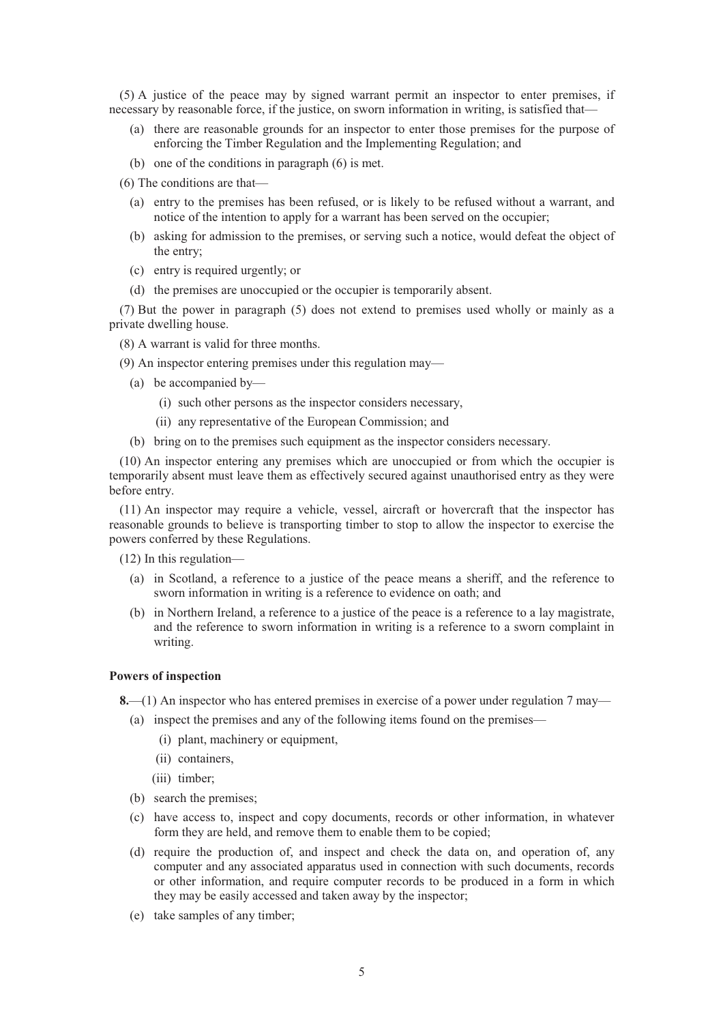(5) A justice of the peace may by signed warrant permit an inspector to enter premises, if necessary by reasonable force, if the justice, on sworn information in writing, is satisfied that—

- (a) there are reasonable grounds for an inspector to enter those premises for the purpose of enforcing the Timber Regulation and the Implementing Regulation; and
- (b) one of the conditions in paragraph (6) is met.
- (6) The conditions are that—
	- (a) entry to the premises has been refused, or is likely to be refused without a warrant, and notice of the intention to apply for a warrant has been served on the occupier;
	- (b) asking for admission to the premises, or serving such a notice, would defeat the object of the entry;
	- (c) entry is required urgently; or
	- (d) the premises are unoccupied or the occupier is temporarily absent.

(7) But the power in paragraph (5) does not extend to premises used wholly or mainly as a private dwelling house.

(8) A warrant is valid for three months.

(9) An inspector entering premises under this regulation may—

- (a) be accompanied by—
	- (i) such other persons as the inspector considers necessary,
	- (ii) any representative of the European Commission; and
- (b) bring on to the premises such equipment as the inspector considers necessary.

(10) An inspector entering any premises which are unoccupied or from which the occupier is temporarily absent must leave them as effectively secured against unauthorised entry as they were before entry.

(11) An inspector may require a vehicle, vessel, aircraft or hovercraft that the inspector has reasonable grounds to believe is transporting timber to stop to allow the inspector to exercise the powers conferred by these Regulations.

(12) In this regulation—

- (a) in Scotland, a reference to a justice of the peace means a sheriff, and the reference to sworn information in writing is a reference to evidence on oath; and
- (b) in Northern Ireland, a reference to a justice of the peace is a reference to a lay magistrate, and the reference to sworn information in writing is a reference to a sworn complaint in writing.

## **Powers of inspection**

**8.**—(1) An inspector who has entered premises in exercise of a power under regulation 7 may—

- (a) inspect the premises and any of the following items found on the premises—
	- (i) plant, machinery or equipment,
	- (ii) containers,
	- (iii) timber;
- (b) search the premises;
- (c) have access to, inspect and copy documents, records or other information, in whatever form they are held, and remove them to enable them to be copied:
- (d) require the production of, and inspect and check the data on, and operation of, any computer and any associated apparatus used in connection with such documents, records or other information, and require computer records to be produced in a form in which they may be easily accessed and taken away by the inspector;
- (e) take samples of any timber;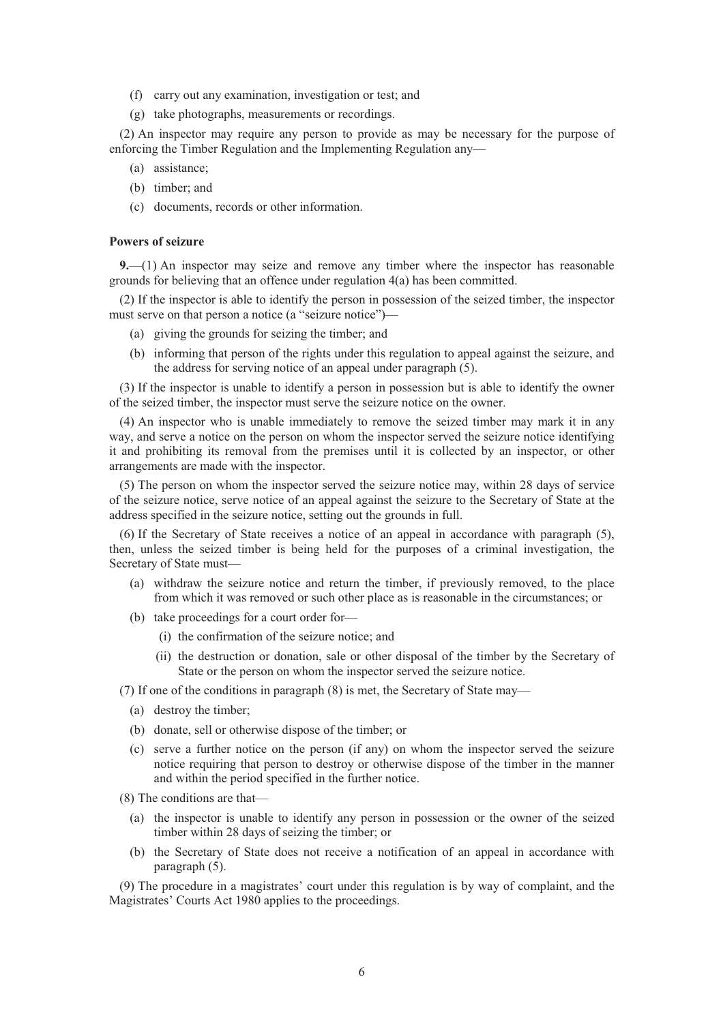- (f) carry out any examination, investigation or test; and
- (g) take photographs, measurements or recordings.

(2) An inspector may require any person to provide as may be necessary for the purpose of enforcing the Timber Regulation and the Implementing Regulation any—

- (a) assistance;
- (b) timber; and
- (c) documents, records or other information.

#### **Powers of seizure**

**9.**—(1) An inspector may seize and remove any timber where the inspector has reasonable grounds for believing that an offence under regulation 4(a) has been committed.

(2) If the inspector is able to identify the person in possession of the seized timber, the inspector must serve on that person a notice (a "seizure notice")—

- (a) giving the grounds for seizing the timber; and
- (b) informing that person of the rights under this regulation to appeal against the seizure, and the address for serving notice of an appeal under paragraph (5).

(3) If the inspector is unable to identify a person in possession but is able to identify the owner of the seized timber, the inspector must serve the seizure notice on the owner.

(4) An inspector who is unable immediately to remove the seized timber may mark it in any way, and serve a notice on the person on whom the inspector served the seizure notice identifying it and prohibiting its removal from the premises until it is collected by an inspector, or other arrangements are made with the inspector.

(5) The person on whom the inspector served the seizure notice may, within 28 days of service of the seizure notice, serve notice of an appeal against the seizure to the Secretary of State at the address specified in the seizure notice, setting out the grounds in full.

(6) If the Secretary of State receives a notice of an appeal in accordance with paragraph (5), then, unless the seized timber is being held for the purposes of a criminal investigation, the Secretary of State must—

- (a) withdraw the seizure notice and return the timber, if previously removed, to the place from which it was removed or such other place as is reasonable in the circumstances; or
- (b) take proceedings for a court order for—
	- (i) the confirmation of the seizure notice; and
	- (ii) the destruction or donation, sale or other disposal of the timber by the Secretary of State or the person on whom the inspector served the seizure notice.

(7) If one of the conditions in paragraph (8) is met, the Secretary of State may—

- (a) destroy the timber;
- (b) donate, sell or otherwise dispose of the timber; or
- (c) serve a further notice on the person (if any) on whom the inspector served the seizure notice requiring that person to destroy or otherwise dispose of the timber in the manner and within the period specified in the further notice.
- (8) The conditions are that—
	- (a) the inspector is unable to identify any person in possession or the owner of the seized timber within 28 days of seizing the timber; or
	- (b) the Secretary of State does not receive a notification of an appeal in accordance with paragraph (5).

(9) The procedure in a magistrates' court under this regulation is by way of complaint, and the Magistrates' Courts Act 1980 applies to the proceedings.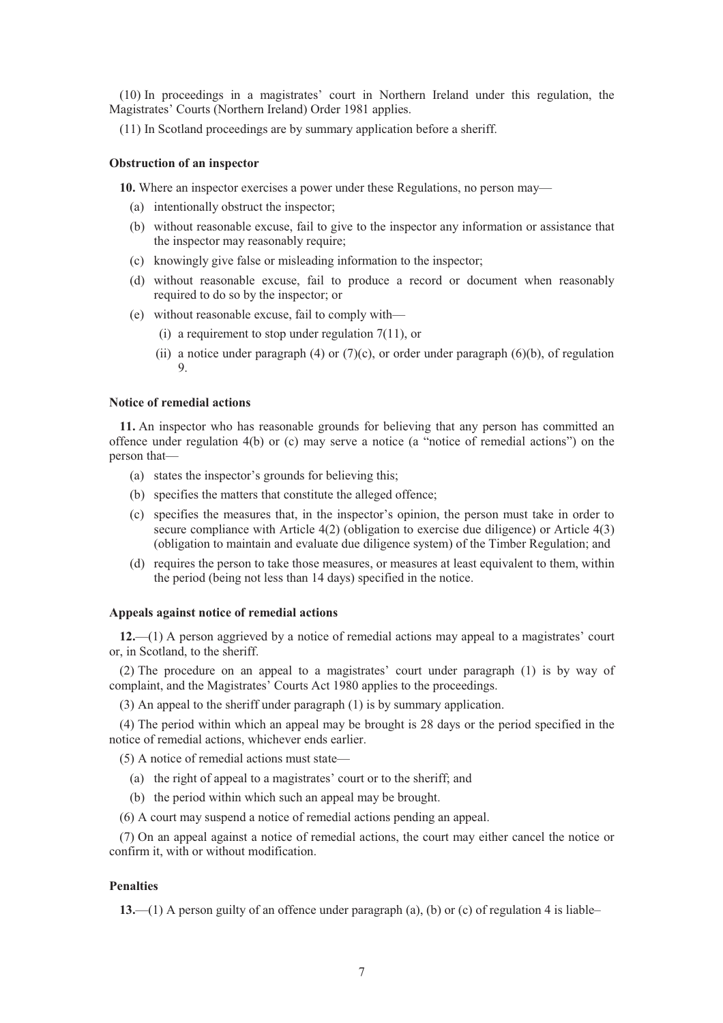(10) In proceedings in a magistrates' court in Northern Ireland under this regulation, the Magistrates' Courts (Northern Ireland) Order 1981 applies.

(11) In Scotland proceedings are by summary application before a sheriff.

#### **Obstruction of an inspector**

**10.** Where an inspector exercises a power under these Regulations, no person may—

- (a) intentionally obstruct the inspector;
- (b) without reasonable excuse, fail to give to the inspector any information or assistance that the inspector may reasonably require;
- (c) knowingly give false or misleading information to the inspector;
- (d) without reasonable excuse, fail to produce a record or document when reasonably required to do so by the inspector; or
- (e) without reasonable excuse, fail to comply with—
	- (i) a requirement to stop under regulation 7(11), or
	- (ii) a notice under paragraph  $(4)$  or  $(7)(c)$ , or order under paragraph  $(6)(b)$ , of regulation 9.

## **Notice of remedial actions**

**11.** An inspector who has reasonable grounds for believing that any person has committed an offence under regulation 4(b) or (c) may serve a notice (a "notice of remedial actions") on the person that—

- (a) states the inspector's grounds for believing this;
- (b) specifies the matters that constitute the alleged offence;
- (c) specifies the measures that, in the inspector's opinion, the person must take in order to secure compliance with Article 4(2) (obligation to exercise due diligence) or Article 4(3) (obligation to maintain and evaluate due diligence system) of the Timber Regulation; and
- (d) requires the person to take those measures, or measures at least equivalent to them, within the period (being not less than 14 days) specified in the notice.

#### **Appeals against notice of remedial actions**

**12.**—(1) A person aggrieved by a notice of remedial actions may appeal to a magistrates' court or, in Scotland, to the sheriff.

(2) The procedure on an appeal to a magistrates' court under paragraph (1) is by way of complaint, and the Magistrates' Courts Act 1980 applies to the proceedings.

(3) An appeal to the sheriff under paragraph (1) is by summary application.

(4) The period within which an appeal may be brought is 28 days or the period specified in the notice of remedial actions, whichever ends earlier.

(5) A notice of remedial actions must state—

- (a) the right of appeal to a magistrates' court or to the sheriff; and
- (b) the period within which such an appeal may be brought.
- (6) A court may suspend a notice of remedial actions pending an appeal.

(7) On an appeal against a notice of remedial actions, the court may either cancel the notice or confirm it, with or without modification.

# **Penalties**

**13.**—(1) A person guilty of an offence under paragraph (a), (b) or (c) of regulation 4 is liable–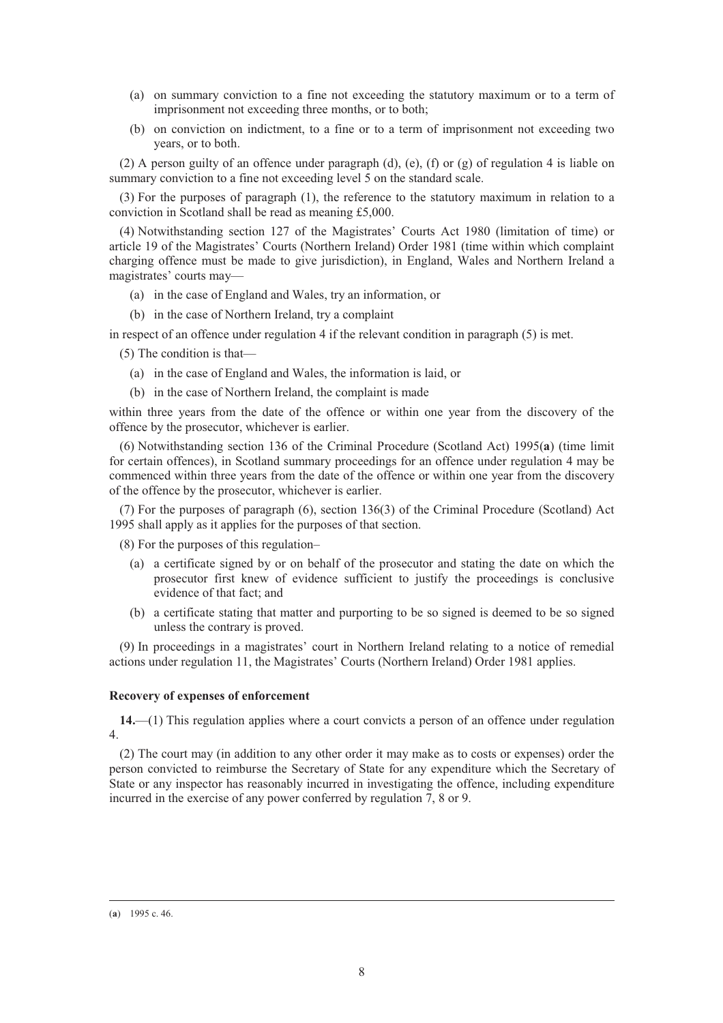- (a) on summary conviction to a fine not exceeding the statutory maximum or to a term of imprisonment not exceeding three months, or to both;
- (b) on conviction on indictment, to a fine or to a term of imprisonment not exceeding two years, or to both.

(2) A person guilty of an offence under paragraph (d), (e), (f) or (g) of regulation 4 is liable on summary conviction to a fine not exceeding level 5 on the standard scale.

(3) For the purposes of paragraph (1), the reference to the statutory maximum in relation to a conviction in Scotland shall be read as meaning £5,000.

(4) Notwithstanding section 127 of the Magistrates' Courts Act 1980 (limitation of time) or article 19 of the Magistrates' Courts (Northern Ireland) Order 1981 (time within which complaint charging offence must be made to give jurisdiction), in England, Wales and Northern Ireland a magistrates' courts may—

- (a) in the case of England and Wales, try an information, or
- (b) in the case of Northern Ireland, try a complaint

in respect of an offence under regulation 4 if the relevant condition in paragraph (5) is met.

(5) The condition is that—

- (a) in the case of England and Wales, the information is laid, or
- (b) in the case of Northern Ireland, the complaint is made

within three years from the date of the offence or within one year from the discovery of the offence by the prosecutor, whichever is earlier.

(6) Notwithstanding section 136 of the Criminal Procedure (Scotland Act) 1995(**a**) (time limit for certain offences), in Scotland summary proceedings for an offence under regulation 4 may be commenced within three years from the date of the offence or within one year from the discovery of the offence by the prosecutor, whichever is earlier.

(7) For the purposes of paragraph (6), section 136(3) of the Criminal Procedure (Scotland) Act 1995 shall apply as it applies for the purposes of that section.

(8) For the purposes of this regulation–

- (a) a certificate signed by or on behalf of the prosecutor and stating the date on which the prosecutor first knew of evidence sufficient to justify the proceedings is conclusive evidence of that fact; and
- (b) a certificate stating that matter and purporting to be so signed is deemed to be so signed unless the contrary is proved.

(9) In proceedings in a magistrates' court in Northern Ireland relating to a notice of remedial actions under regulation 11, the Magistrates' Courts (Northern Ireland) Order 1981 applies.

## **Recovery of expenses of enforcement**

**14.**—(1) This regulation applies where a court convicts a person of an offence under regulation 4.

(2) The court may (in addition to any other order it may make as to costs or expenses) order the person convicted to reimburse the Secretary of State for any expenditure which the Secretary of State or any inspector has reasonably incurred in investigating the offence, including expenditure incurred in the exercise of any power conferred by regulation 7, 8 or 9.

 <sup>(</sup>**a**) 1995 c. 46.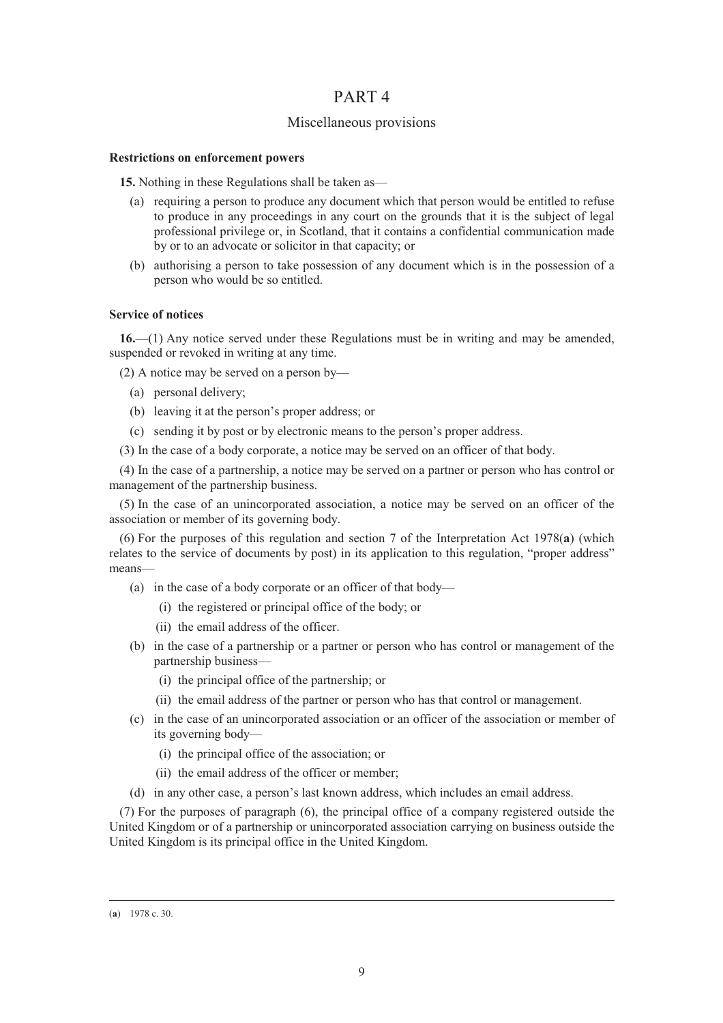# PART 4

# Miscellaneous provisions

## **Restrictions on enforcement powers**

**15.** Nothing in these Regulations shall be taken as—

- (a) requiring a person to produce any document which that person would be entitled to refuse to produce in any proceedings in any court on the grounds that it is the subject of legal professional privilege or, in Scotland, that it contains a confidential communication made by or to an advocate or solicitor in that capacity; or
- (b) authorising a person to take possession of any document which is in the possession of a person who would be so entitled.

# **Service of notices**

**16.**—(1) Any notice served under these Regulations must be in writing and may be amended, suspended or revoked in writing at any time.

(2) A notice may be served on a person by—

- (a) personal delivery;
- (b) leaving it at the person's proper address; or
- (c) sending it by post or by electronic means to the person's proper address.
- (3) In the case of a body corporate, a notice may be served on an officer of that body.

(4) In the case of a partnership, a notice may be served on a partner or person who has control or management of the partnership business.

(5) In the case of an unincorporated association, a notice may be served on an officer of the association or member of its governing body.

(6) For the purposes of this regulation and section 7 of the Interpretation Act 1978(**a**) (which relates to the service of documents by post) in its application to this regulation, "proper address" means—

- (a) in the case of a body corporate or an officer of that body—
	- (i) the registered or principal office of the body; or
	- (ii) the email address of the officer.
- (b) in the case of a partnership or a partner or person who has control or management of the partnership business—
	- (i) the principal office of the partnership; or
	- (ii) the email address of the partner or person who has that control or management.
- (c) in the case of an unincorporated association or an officer of the association or member of its governing body—
	- (i) the principal office of the association; or
	- (ii) the email address of the officer or member;
- (d) in any other case, a person's last known address, which includes an email address.

(7) For the purposes of paragraph (6), the principal office of a company registered outside the United Kingdom or of a partnership or unincorporated association carrying on business outside the United Kingdom is its principal office in the United Kingdom.

 <sup>(</sup>**a**) 1978 c. 30.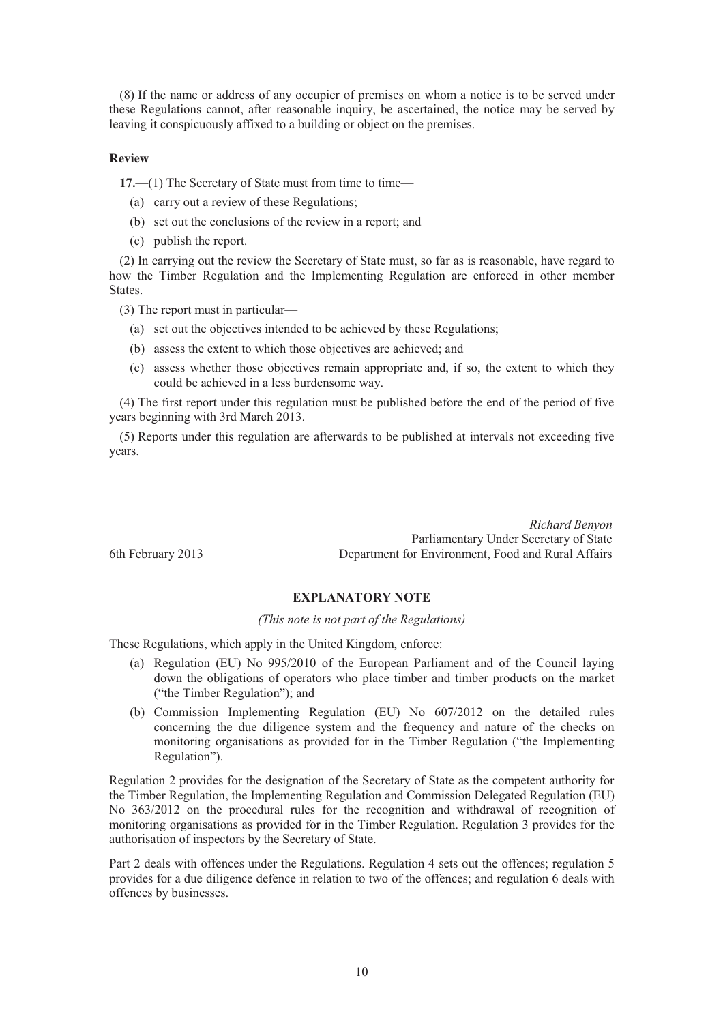(8) If the name or address of any occupier of premises on whom a notice is to be served under these Regulations cannot, after reasonable inquiry, be ascertained, the notice may be served by leaving it conspicuously affixed to a building or object on the premises.

## **Review**

**17.**—(1) The Secretary of State must from time to time—

- (a) carry out a review of these Regulations;
- (b) set out the conclusions of the review in a report; and
- (c) publish the report.

(2) In carrying out the review the Secretary of State must, so far as is reasonable, have regard to how the Timber Regulation and the Implementing Regulation are enforced in other member States.

(3) The report must in particular—

- (a) set out the objectives intended to be achieved by these Regulations;
- (b) assess the extent to which those objectives are achieved; and
- (c) assess whether those objectives remain appropriate and, if so, the extent to which they could be achieved in a less burdensome way.

(4) The first report under this regulation must be published before the end of the period of five years beginning with 3rd March 2013.

(5) Reports under this regulation are afterwards to be published at intervals not exceeding five years.

*Richard Benyon* Parliamentary Under Secretary of State 6th February 2013 Department for Environment, Food and Rural Affairs

# **EXPLANATORY NOTE**

# *(This note is not part of the Regulations)*

These Regulations, which apply in the United Kingdom, enforce:

- (a) Regulation (EU) No 995/2010 of the European Parliament and of the Council laying down the obligations of operators who place timber and timber products on the market ("the Timber Regulation"); and
- (b) Commission Implementing Regulation (EU) No 607/2012 on the detailed rules concerning the due diligence system and the frequency and nature of the checks on monitoring organisations as provided for in the Timber Regulation ("the Implementing Regulation").

Regulation 2 provides for the designation of the Secretary of State as the competent authority for the Timber Regulation, the Implementing Regulation and Commission Delegated Regulation (EU) No 363/2012 on the procedural rules for the recognition and withdrawal of recognition of monitoring organisations as provided for in the Timber Regulation. Regulation 3 provides for the authorisation of inspectors by the Secretary of State.

Part 2 deals with offences under the Regulations. Regulation 4 sets out the offences; regulation 5 provides for a due diligence defence in relation to two of the offences; and regulation 6 deals with offences by businesses.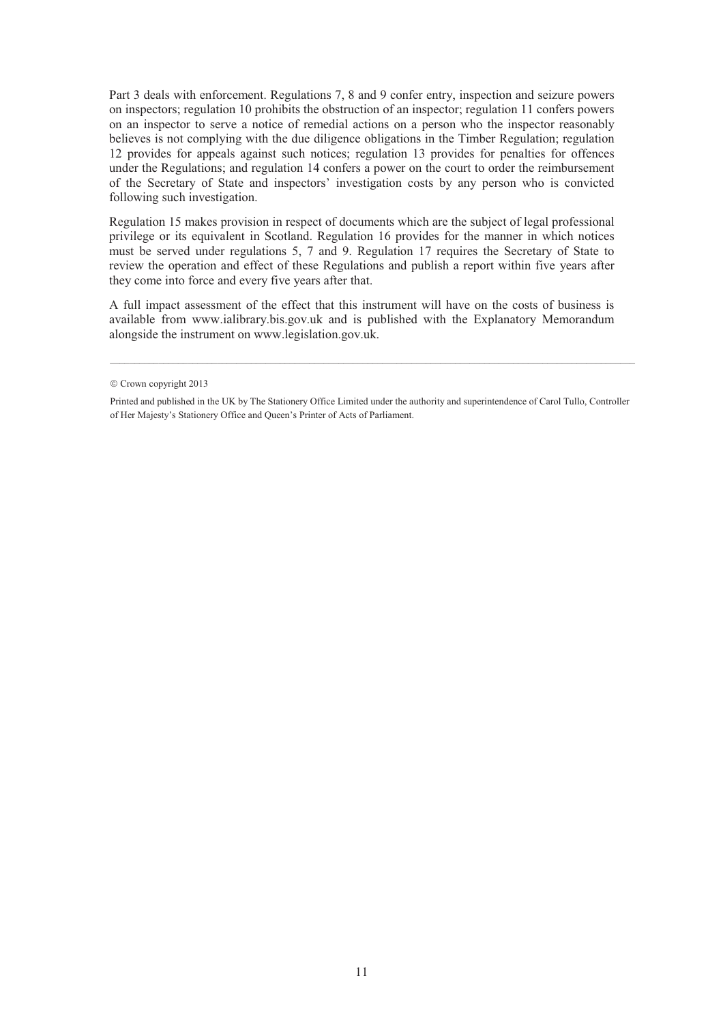Part 3 deals with enforcement. Regulations 7, 8 and 9 confer entry, inspection and seizure powers on inspectors; regulation 10 prohibits the obstruction of an inspector; regulation 11 confers powers on an inspector to serve a notice of remedial actions on a person who the inspector reasonably believes is not complying with the due diligence obligations in the Timber Regulation; regulation 12 provides for appeals against such notices; regulation 13 provides for penalties for offences under the Regulations; and regulation 14 confers a power on the court to order the reimbursement of the Secretary of State and inspectors' investigation costs by any person who is convicted following such investigation.

Regulation 15 makes provision in respect of documents which are the subject of legal professional privilege or its equivalent in Scotland. Regulation 16 provides for the manner in which notices must be served under regulations 5, 7 and 9. Regulation 17 requires the Secretary of State to review the operation and effect of these Regulations and publish a report within five years after they come into force and every five years after that.

A full impact assessment of the effect that this instrument will have on the costs of business is available from www.ialibrary.bis.gov.uk and is published with the Explanatory Memorandum alongside the instrument on www.legislation.gov.uk.

\_\_\_\_\_\_\_\_\_\_\_\_\_\_\_\_\_\_\_\_\_\_\_\_\_\_\_\_\_\_\_\_\_\_\_\_\_\_\_\_\_\_\_\_\_\_\_\_\_\_\_\_\_\_\_\_\_\_\_\_\_\_\_\_\_\_\_\_\_\_\_\_\_\_\_\_\_\_\_\_\_\_\_\_\_\_\_\_\_\_\_\_\_\_\_\_\_\_\_\_\_\_\_\_\_\_\_\_

 $©$  Crown copyright 2013

Printed and published in the UK by The Stationery Office Limited under the authority and superintendence of Carol Tullo, Controller of Her Majesty's Stationery Office and Queen's Printer of Acts of Parliament.